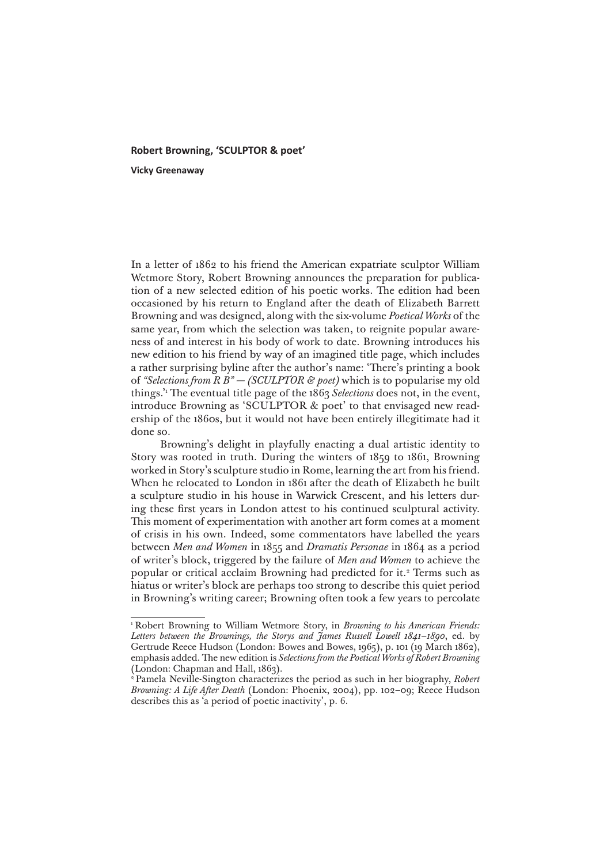## **Robert Browning, 'SCULPTOR & poet'**

**Vicky Greenaway**

In a letter of 1862 to his friend the American expatriate sculptor William Wetmore Story, Robert Browning announces the preparation for publication of a new selected edition of his poetic works. The edition had been occasioned by his return to England after the death of Elizabeth Barrett Browning and was designed, along with the six-volume *Poetical Works* of the same year, from which the selection was taken, to reignite popular awareness of and interest in his body of work to date. Browning introduces his new edition to his friend by way of an imagined title page, which includes a rather surprising byline after the author's name: 'There's printing a book of *"Selections from R B" — (SCULPTOR & poet)* which is to popularise my old things.'1 The eventual title page of the 1863 *Selections* does not, in the event, introduce Browning as 'SCULPTOR & poet' to that envisaged new readership of the 1860s, but it would not have been entirely illegitimate had it done so.

Browning's delight in playfully enacting a dual artistic identity to Story was rooted in truth. During the winters of 1859 to 1861, Browning worked in Story's sculpture studio in Rome, learning the art from his friend. When he relocated to London in 1861 after the death of Elizabeth he built a sculpture studio in his house in Warwick Crescent, and his letters during these first years in London attest to his continued sculptural activity. This moment of experimentation with another art form comes at a moment of crisis in his own. Indeed, some commentators have labelled the years between *Men and Women* in 1855 and *Dramatis Personae* in 1864 as a period of writer's block, triggered by the failure of *Men and Women* to achieve the popular or critical acclaim Browning had predicted for it.<sup>2</sup> Terms such as hiatus or writer's block are perhaps too strong to describe this quiet period in Browning's writing career; Browning often took a few years to percolate

<sup>&</sup>lt;sup>1</sup> Robert Browning to William Wetmore Story, in *Browning to his American Friends: Letters between the Brownings, the Storys and James Russell Lowell 1841–1890*, ed. by Gertrude Reece Hudson (London: Bowes and Bowes, 1965), p. 101 (19 March 1862), emphasis added. The new edition is *Selections from the Poetical Works of Robert Browning* (London: Chapman and Hall, 1863).

<sup>2</sup> Pamela Neville-Sington characterizes the period as such in her biography, *Robert Browning: A Life After Death* (London: Phoenix, 2004), pp. 102–09; Reece Hudson describes this as 'a period of poetic inactivity', p. 6.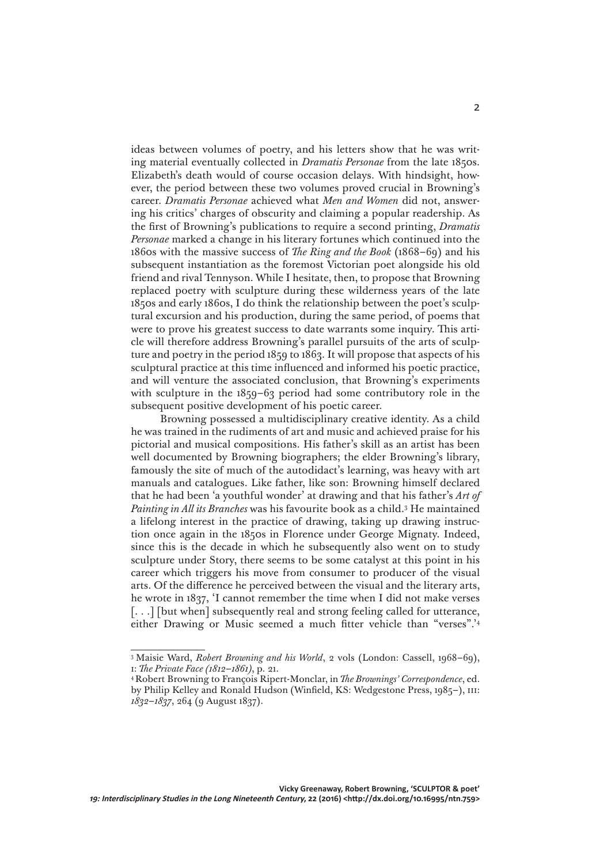ideas between volumes of poetry, and his letters show that he was writing material eventually collected in *Dramatis Personae* from the late 1850s. Elizabeth's death would of course occasion delays. With hindsight, however, the period between these two volumes proved crucial in Browning's career. *Dramatis Personae* achieved what *Men and Women* did not, answering his critics' charges of obscurity and claiming a popular readership. As the first of Browning's publications to require a second printing, *Dramatis Personae* marked a change in his literary fortunes which continued into the 1860s with the massive success of *The Ring and the Book* (1868–69) and his subsequent instantiation as the foremost Victorian poet alongside his old friend and rival Tennyson. While I hesitate, then, to propose that Browning replaced poetry with sculpture during these wilderness years of the late 1850s and early 1860s, I do think the relationship between the poet's sculptural excursion and his production, during the same period, of poems that were to prove his greatest success to date warrants some inquiry. This article will therefore address Browning's parallel pursuits of the arts of sculpture and poetry in the period 1859 to 1863. It will propose that aspects of his sculptural practice at this time influenced and informed his poetic practice, and will venture the associated conclusion, that Browning's experiments with sculpture in the 1859–63 period had some contributory role in the subsequent positive development of his poetic career.

Browning possessed a multidisciplinary creative identity. As a child he was trained in the rudiments of art and music and achieved praise for his pictorial and musical compositions. His father's skill as an artist has been well documented by Browning biographers; the elder Browning's library, famously the site of much of the autodidact's learning, was heavy with art manuals and catalogues. Like father, like son: Browning himself declared that he had been 'a youthful wonder' at drawing and that his father's *Art of Painting in All its Branches* was his favourite book as a child.3 He maintained a lifelong interest in the practice of drawing, taking up drawing instruction once again in the 1850s in Florence under George Mignaty. Indeed, since this is the decade in which he subsequently also went on to study sculpture under Story, there seems to be some catalyst at this point in his career which triggers his move from consumer to producer of the visual arts. Of the difference he perceived between the visual and the literary arts, he wrote in 1837, 'I cannot remember the time when I did not make verses [...] [but when] subsequently real and strong feeling called for utterance, either Drawing or Music seemed a much fitter vehicle than "verses".'4

<sup>3</sup> Maisie Ward, *Robert Browning and his World*, 2 vols (London: Cassell, 1968–69), i: *The Private Face (1812–1861)*, p. 21.

<sup>4</sup> Robert Browning to François Ripert-Monclar, in *The Brownings' Correspondence*, ed. by Philip Kelley and Ronald Hudson (Winfield, KS: Wedgestone Press, 1985-), III: *1832–1837*, 264 (9 August 1837).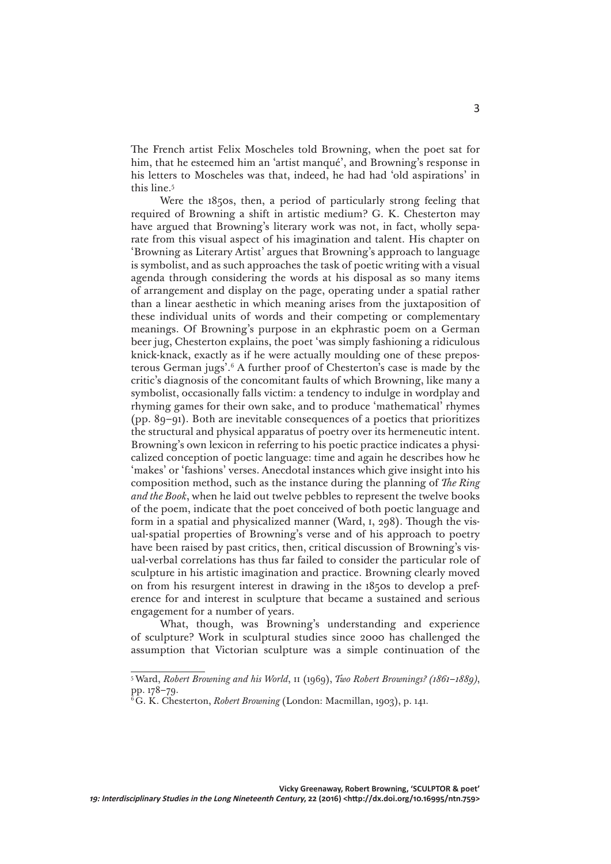The French artist Felix Moscheles told Browning, when the poet sat for him, that he esteemed him an 'artist manqué', and Browning's response in his letters to Moscheles was that, indeed, he had had 'old aspirations' in this line.5

Were the 1850s, then, a period of particularly strong feeling that required of Browning a shift in artistic medium? G. K. Chesterton may have argued that Browning's literary work was not, in fact, wholly separate from this visual aspect of his imagination and talent. His chapter on 'Browning as Literary Artist' argues that Browning's approach to language is symbolist, and as such approaches the task of poetic writing with a visual agenda through considering the words at his disposal as so many items of arrangement and display on the page, operating under a spatial rather than a linear aesthetic in which meaning arises from the juxtaposition of these individual units of words and their competing or complementary meanings. Of Browning's purpose in an ekphrastic poem on a German beer jug, Chesterton explains, the poet 'was simply fashioning a ridiculous knick-knack, exactly as if he were actually moulding one of these preposterous German jugs'.6 A further proof of Chesterton's case is made by the critic's diagnosis of the concomitant faults of which Browning, like many a symbolist, occasionally falls victim: a tendency to indulge in wordplay and rhyming games for their own sake, and to produce 'mathematical' rhymes (pp. 89–91). Both are inevitable consequences of a poetics that prioritizes the structural and physical apparatus of poetry over its hermeneutic intent. Browning's own lexicon in referring to his poetic practice indicates a physicalized conception of poetic language: time and again he describes how he 'makes' or 'fashions' verses. Anecdotal instances which give insight into his composition method, such as the instance during the planning of *The Ring and the Book*, when he laid out twelve pebbles to represent the twelve books of the poem, indicate that the poet conceived of both poetic language and form in a spatial and physicalized manner (Ward, i, 298). Though the visual-spatial properties of Browning's verse and of his approach to poetry have been raised by past critics, then, critical discussion of Browning's visual-verbal correlations has thus far failed to consider the particular role of sculpture in his artistic imagination and practice. Browning clearly moved on from his resurgent interest in drawing in the 1850s to develop a preference for and interest in sculpture that became a sustained and serious engagement for a number of years.

What, though, was Browning's understanding and experience of sculpture? Work in sculptural studies since 2000 has challenged the assumption that Victorian sculpture was a simple continuation of the

<sup>5</sup> Ward, *Robert Browning and his World*, ii (1969), *Two Robert Brownings? (1861–1889)*, pp. 178–79.

<sup>6</sup> G. K. Chesterton, *Robert Browning* (London: Macmillan, 1903), p. 141.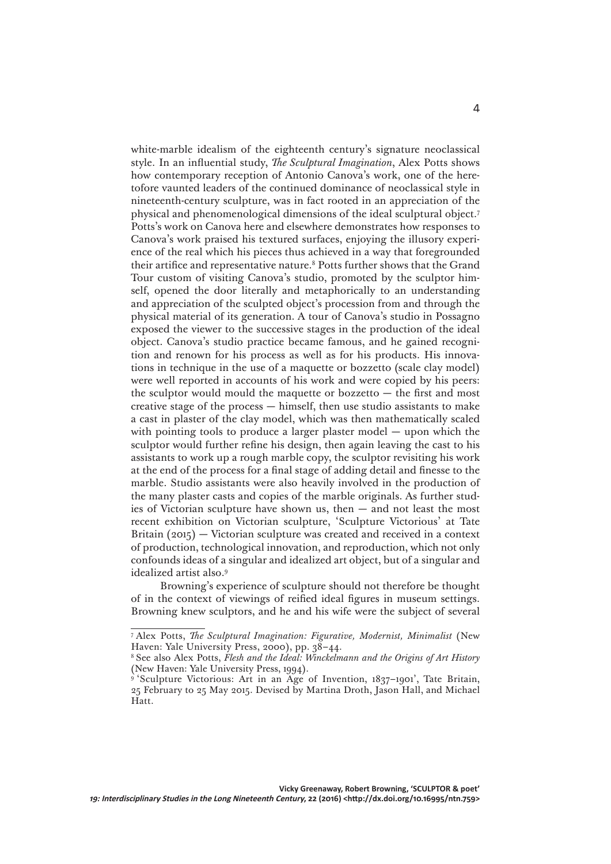white-marble idealism of the eighteenth century's signature neoclassical style. In an influential study, *The Sculptural Imagination*, Alex Potts shows how contemporary reception of Antonio Canova's work, one of the heretofore vaunted leaders of the continued dominance of neoclassical style in nineteenth-century sculpture, was in fact rooted in an appreciation of the physical and phenomenological dimensions of the ideal sculptural object.7 Potts's work on Canova here and elsewhere demonstrates how responses to Canova's work praised his textured surfaces, enjoying the illusory experience of the real which his pieces thus achieved in a way that foregrounded their artifice and representative nature.8 Potts further shows that the Grand Tour custom of visiting Canova's studio, promoted by the sculptor himself, opened the door literally and metaphorically to an understanding and appreciation of the sculpted object's procession from and through the physical material of its generation. A tour of Canova's studio in Possagno exposed the viewer to the successive stages in the production of the ideal object. Canova's studio practice became famous, and he gained recognition and renown for his process as well as for his products. His innovations in technique in the use of a maquette or bozzetto (scale clay model) were well reported in accounts of his work and were copied by his peers: the sculptor would mould the maquette or bozzetto — the first and most creative stage of the process — himself, then use studio assistants to make a cast in plaster of the clay model, which was then mathematically scaled with pointing tools to produce a larger plaster model — upon which the sculptor would further refine his design, then again leaving the cast to his assistants to work up a rough marble copy, the sculptor revisiting his work at the end of the process for a final stage of adding detail and finesse to the marble. Studio assistants were also heavily involved in the production of the many plaster casts and copies of the marble originals. As further studies of Victorian sculpture have shown us, then — and not least the most recent exhibition on Victorian sculpture, 'Sculpture Victorious' at Tate Britain (2015) — Victorian sculpture was created and received in a context of production, technological innovation, and reproduction, which not only confounds ideas of a singular and idealized art object, but of a singular and idealized artist also.9

Browning's experience of sculpture should not therefore be thought of in the context of viewings of reified ideal figures in museum settings. Browning knew sculptors, and he and his wife were the subject of several

<sup>7</sup> Alex Potts, *The Sculptural Imagination: Figurative, Modernist, Minimalist* (New Haven: Yale University Press, 2000), pp. 38–44.

<sup>8</sup> See also Alex Potts, *Flesh and the Ideal: Winckelmann and the Origins of Art History* (New Haven: Yale University Press, 1994).

<sup>&</sup>lt;sup>9</sup> 'Sculpture Victorious: Art in an Age of Invention, 1837-1901', Tate Britain, 25 February to 25 May 2015. Devised by Martina Droth, Jason Hall, and Michael Hatt.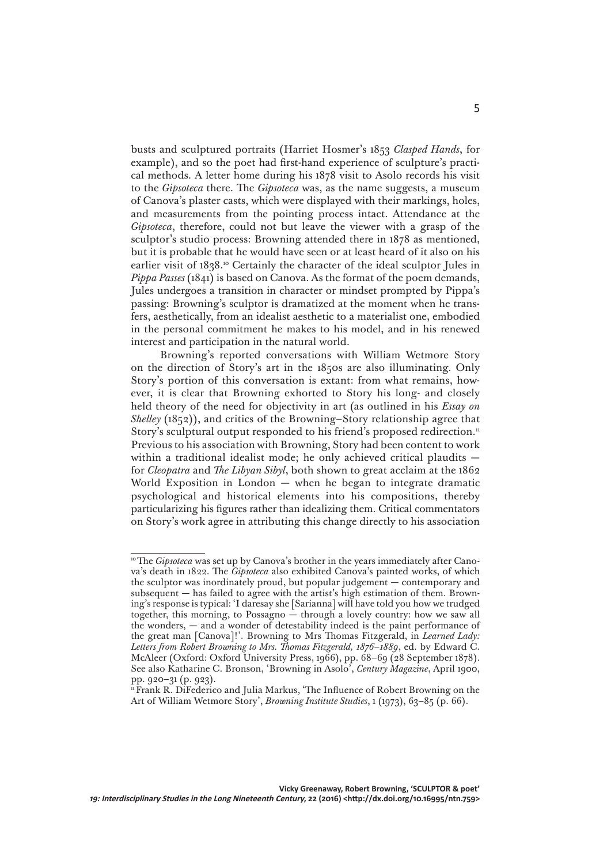busts and sculptured portraits (Harriet Hosmer's 1853 *Clasped Hands*, for example), and so the poet had first-hand experience of sculpture's practical methods. A letter home during his 1878 visit to Asolo records his visit to the *Gipsoteca* there. The *Gipsoteca* was, as the name suggests, a museum of Canova's plaster casts, which were displayed with their markings, holes, and measurements from the pointing process intact. Attendance at the *Gipsoteca*, therefore, could not but leave the viewer with a grasp of the sculptor's studio process: Browning attended there in 1878 as mentioned, but it is probable that he would have seen or at least heard of it also on his earlier visit of 1838.<sup>10</sup> Certainly the character of the ideal sculptor Jules in *Pippa Passes* (1841) is based on Canova. As the format of the poem demands, Jules undergoes a transition in character or mindset prompted by Pippa's passing: Browning's sculptor is dramatized at the moment when he transfers, aesthetically, from an idealist aesthetic to a materialist one, embodied in the personal commitment he makes to his model, and in his renewed interest and participation in the natural world.

Browning's reported conversations with William Wetmore Story on the direction of Story's art in the 1850s are also illuminating. Only Story's portion of this conversation is extant: from what remains, however, it is clear that Browning exhorted to Story his long- and closely held theory of the need for objectivity in art (as outlined in his *Essay on Shelley* (1852)), and critics of the Browning–Story relationship agree that Story's sculptural output responded to his friend's proposed redirection.<sup>11</sup> Previous to his association with Browning, Story had been content to work within a traditional idealist mode; he only achieved critical plaudits – for *Cleopatra* and *The Libyan Sibyl*, both shown to great acclaim at the 1862 World Exposition in London — when he began to integrate dramatic psychological and historical elements into his compositions, thereby particularizing his figures rather than idealizing them. Critical commentators on Story's work agree in attributing this change directly to his association

<sup>&</sup>lt;sup>10</sup> The *Gipsoteca* was set up by Canova's brother in the years immediately after Canova's death in 1822. The *Gipsoteca* also exhibited Canova's painted works, of which the sculptor was inordinately proud, but popular judgement — contemporary and subsequent — has failed to agree with the artist's high estimation of them. Browning's response is typical: 'I daresay she [Sarianna] will have told you how we trudged together, this morning, to Possagno — through a lovely country: how we saw all the wonders, — and a wonder of detestability indeed is the paint performance of the great man [Canova]!'. Browning to Mrs Thomas Fitzgerald, in *Learned Lady: Letters from Robert Browning to Mrs. Thomas Fitzgerald, 1876–1889*, ed. by Edward C. McAleer (Oxford: Oxford University Press, 1966), pp. 68–69 (28 September 1878). See also Katharine C. Bronson, 'Browning in Asolo', *Century Magazine*, April 1900, pp. 920–31 (p. 923).

<sup>&</sup>lt;sup>11</sup> Frank R. Difederico and Julia Markus, 'The Influence of Robert Browning on the Art of William Wetmore Story', *Browning Institute Studies*, 1 (1973), 63–85 (p. 66).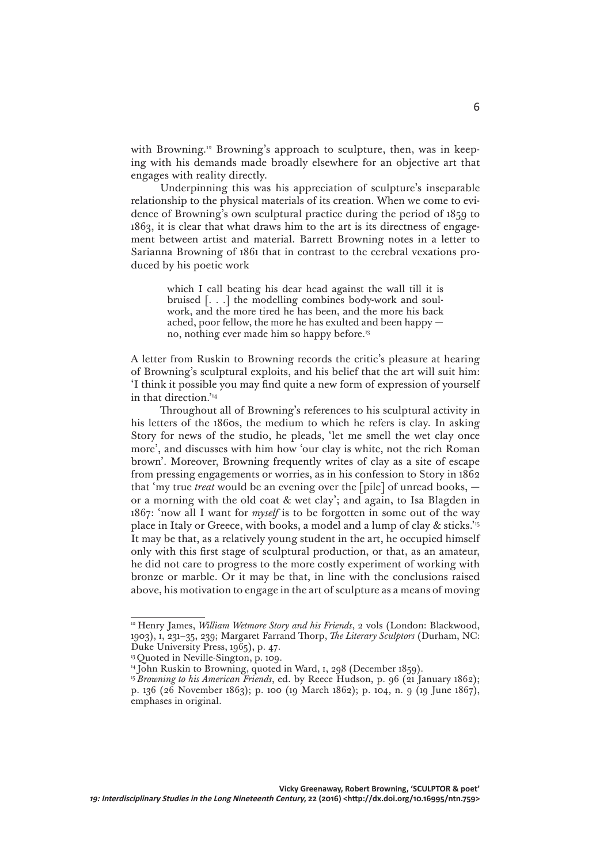with Browning.<sup>12</sup> Browning's approach to sculpture, then, was in keeping with his demands made broadly elsewhere for an objective art that engages with reality directly.

Underpinning this was his appreciation of sculpture's inseparable relationship to the physical materials of its creation. When we come to evidence of Browning's own sculptural practice during the period of 1859 to 1863, it is clear that what draws him to the art is its directness of engagement between artist and material. Barrett Browning notes in a letter to Sarianna Browning of 1861 that in contrast to the cerebral vexations produced by his poetic work

> which I call beating his dear head against the wall till it is bruised [. . .] the modelling combines body-work and soulwork, and the more tired he has been, and the more his back ached, poor fellow, the more he has exulted and been happy no, nothing ever made him so happy before.13

A letter from Ruskin to Browning records the critic's pleasure at hearing of Browning's sculptural exploits, and his belief that the art will suit him: 'I think it possible you may find quite a new form of expression of yourself in that direction.'14

Throughout all of Browning's references to his sculptural activity in his letters of the 1860s, the medium to which he refers is clay. In asking Story for news of the studio, he pleads, 'let me smell the wet clay once more', and discusses with him how 'our clay is white, not the rich Roman brown'. Moreover, Browning frequently writes of clay as a site of escape from pressing engagements or worries, as in his confession to Story in 1862 that 'my true *treat* would be an evening over the [pile] of unread books, or a morning with the old coat & wet clay'; and again, to Isa Blagden in 1867: 'now all I want for *myself* is to be forgotten in some out of the way place in Italy or Greece, with books, a model and a lump of clay & sticks.'15 It may be that, as a relatively young student in the art, he occupied himself only with this first stage of sculptural production, or that, as an amateur, he did not care to progress to the more costly experiment of working with bronze or marble. Or it may be that, in line with the conclusions raised above, his motivation to engage in the art of sculpture as a means of moving

<sup>12</sup> Henry James, *William Wetmore Story and his Friends*, 2 vols (London: Blackwood, 1903), i, 231–35, 239; Margaret Farrand Thorp, *The Literary Sculptors* (Durham, NC: Duke University Press, 1965), p. 47.

<sup>&</sup>lt;sup>13</sup> Quoted in Neville-Sington, p. 109.

<sup>&</sup>lt;sup>14</sup> John Ruskin to Browning, quoted in Ward, 1, 298 (December 1859).

<sup>15</sup>*Browning to his American Friends*, ed. by Reece Hudson, p. 96 (21 January 1862); p. 136 (26 November 1863); p. 100 (19 March 1862); p. 104, n. 9 (19 June 1867), emphases in original.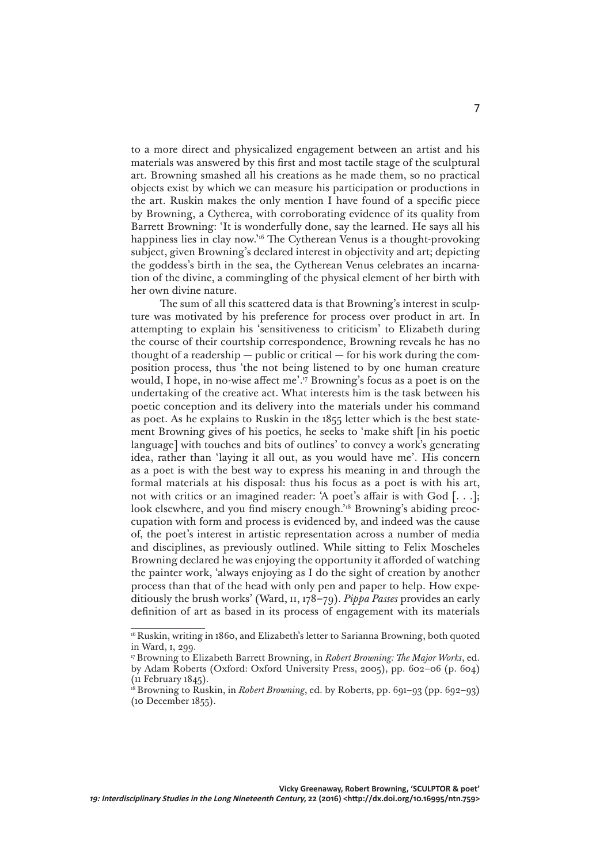to a more direct and physicalized engagement between an artist and his materials was answered by this first and most tactile stage of the sculptural art. Browning smashed all his creations as he made them, so no practical objects exist by which we can measure his participation or productions in the art. Ruskin makes the only mention I have found of a specific piece by Browning, a Cytherea, with corroborating evidence of its quality from Barrett Browning: 'It is wonderfully done, say the learned. He says all his happiness lies in clay now.'16 The Cytherean Venus is a thought-provoking subject, given Browning's declared interest in objectivity and art; depicting the goddess's birth in the sea, the Cytherean Venus celebrates an incarnation of the divine, a commingling of the physical element of her birth with her own divine nature.

The sum of all this scattered data is that Browning's interest in sculpture was motivated by his preference for process over product in art. In attempting to explain his 'sensitiveness to criticism' to Elizabeth during the course of their courtship correspondence, Browning reveals he has no thought of a readership — public or critical — for his work during the composition process, thus 'the not being listened to by one human creature would, I hope, in no-wise affect me'.17 Browning's focus as a poet is on the undertaking of the creative act. What interests him is the task between his poetic conception and its delivery into the materials under his command as poet. As he explains to Ruskin in the 1855 letter which is the best statement Browning gives of his poetics, he seeks to 'make shift [in his poetic language] with touches and bits of outlines' to convey a work's generating idea, rather than 'laying it all out, as you would have me'. His concern as a poet is with the best way to express his meaning in and through the formal materials at his disposal: thus his focus as a poet is with his art, not with critics or an imagined reader: 'A poet's affair is with God [. . .]; look elsewhere, and you find misery enough.<sup>'18</sup> Browning's abiding preoccupation with form and process is evidenced by, and indeed was the cause of, the poet's interest in artistic representation across a number of media and disciplines, as previously outlined. While sitting to Felix Moscheles Browning declared he was enjoying the opportunity it afforded of watching the painter work, 'always enjoying as I do the sight of creation by another process than that of the head with only pen and paper to help. How expeditiously the brush works' (Ward, ii, 178–79). *Pippa Passes* provides an early definition of art as based in its process of engagement with its materials

<sup>16</sup> Ruskin, writing in 1860, and Elizabeth's letter to Sarianna Browning, both quoted in Ward, i, 299.

<sup>17</sup> Browning to Elizabeth Barrett Browning, in *Robert Browning: The Major Works*, ed. by Adam Roberts (Oxford: Oxford University Press, 2005), pp. 602–06 (p. 604) (11 February 1845).

<sup>&</sup>lt;sup>18</sup> Browning to Ruskin, in *Robert Browning*, ed. by Roberts, pp. 691-93 (pp. 692-93) (10 December 1855).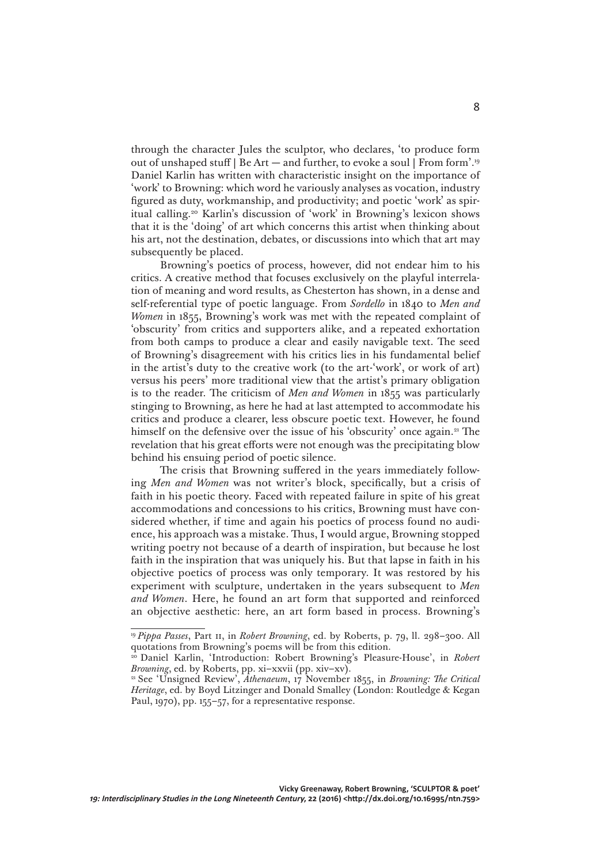through the character Jules the sculptor, who declares, 'to produce form out of unshaped stuff | Be Art — and further, to evoke a soul | From form'.19 Daniel Karlin has written with characteristic insight on the importance of 'work' to Browning: which word he variously analyses as vocation, industry figured as duty, workmanship, and productivity; and poetic 'work' as spiritual calling.20 Karlin's discussion of 'work' in Browning's lexicon shows that it is the 'doing' of art which concerns this artist when thinking about his art, not the destination, debates, or discussions into which that art may subsequently be placed.

Browning's poetics of process, however, did not endear him to his critics. A creative method that focuses exclusively on the playful interrelation of meaning and word results, as Chesterton has shown, in a dense and self-referential type of poetic language. From *Sordello* in 1840 to *Men and Women* in 1855, Browning's work was met with the repeated complaint of 'obscurity' from critics and supporters alike, and a repeated exhortation from both camps to produce a clear and easily navigable text. The seed of Browning's disagreement with his critics lies in his fundamental belief in the artist's duty to the creative work (to the art-'work', or work of art) versus his peers' more traditional view that the artist's primary obligation is to the reader. The criticism of *Men and Women* in 1855 was particularly stinging to Browning, as here he had at last attempted to accommodate his critics and produce a clearer, less obscure poetic text. However, he found himself on the defensive over the issue of his 'obscurity' once again.<sup>21</sup> The revelation that his great efforts were not enough was the precipitating blow behind his ensuing period of poetic silence.

The crisis that Browning suffered in the years immediately following *Men and Women* was not writer's block, specifically, but a crisis of faith in his poetic theory. Faced with repeated failure in spite of his great accommodations and concessions to his critics, Browning must have considered whether, if time and again his poetics of process found no audience, his approach was a mistake. Thus, I would argue, Browning stopped writing poetry not because of a dearth of inspiration, but because he lost faith in the inspiration that was uniquely his. But that lapse in faith in his objective poetics of process was only temporary. It was restored by his experiment with sculpture, undertaken in the years subsequent to *Men and Women*. Here, he found an art form that supported and reinforced an objective aesthetic: here, an art form based in process. Browning's

<sup>19</sup>*Pippa Passes*, Part ii, in *Robert Browning*, ed. by Roberts, p. 79, ll. 298–300. All quotations from Browning's poems will be from this edition.

<sup>&</sup>lt;sup>20</sup> Daniel Karlin, 'Introduction: Robert Browning's Pleasure-House', in *Robert Browning*, ed. by Roberts, pp. xi–xxvii (pp. xiv–xv).

<sup>21</sup> See 'Unsigned Review', *Athenaeum*, 17 November 1855, in *Browning: The Critical Heritage*, ed. by Boyd Litzinger and Donald Smalley (London: Routledge & Kegan Paul, 1970), pp. 155–57, for a representative response.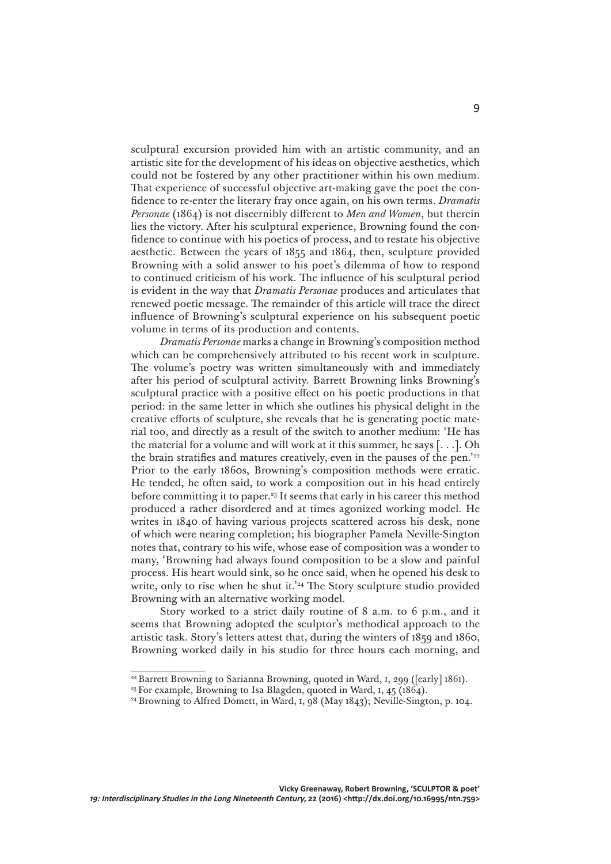sculptural excursion provided him with an artistic community, and an artistic site for the development of his ideas on objective aesthetics, which could not be fostered by any other practitioner within his own medium. That experience of successful objective art-making gave the poet the confidence to re-enter the literary fray once again, on his own terms. *Dramatis Personae* (1864) is not discernibly different to *Men and Women*, but therein lies the victory. After his sculptural experience, Browning found the confidence to continue with his poetics of process, and to restate his objective aesthetic. Between the years of 1855 and 1864, then, sculpture provided Browning with a solid answer to his poet's dilemma of how to respond to continued criticism of his work. The influence of his sculptural period is evident in the way that *Dramatis Personae* produces and articulates that renewed poetic message. The remainder of this article will trace the direct influence of Browning's sculptural experience on his subsequent poetic volume in terms of its production and contents.

*Dramatis Personae* marks a change in Browning's composition method which can be comprehensively attributed to his recent work in sculpture. The volume's poetry was written simultaneously with and immediately after his period of sculptural activity. Barrett Browning links Browning's sculptural practice with a positive effect on his poetic productions in that period: in the same letter in which she outlines his physical delight in the creative efforts of sculpture, she reveals that he is generating poetic material too, and directly as a result of the switch to another medium: 'He has the material for a volume and will work at it this summer, he says [. . .]. Oh the brain stratifies and matures creatively, even in the pauses of the pen.'22 Prior to the early 1860s, Browning's composition methods were erratic. He tended, he often said, to work a composition out in his head entirely before committing it to paper.23 It seems that early in his career this method produced a rather disordered and at times agonized working model. He writes in 1840 of having various projects scattered across his desk, none of which were nearing completion; his biographer Pamela Neville-Sington notes that, contrary to his wife, whose ease of composition was a wonder to many, 'Browning had always found composition to be a slow and painful process. His heart would sink, so he once said, when he opened his desk to write, only to rise when he shut it.'<sup>24</sup> The Story sculpture studio provided Browning with an alternative working model.

Story worked to a strict daily routine of 8 a.m. to 6 p.m., and it seems that Browning adopted the sculptor's methodical approach to the artistic task. Story's letters attest that, during the winters of 1859 and 1860, Browning worked daily in his studio for three hours each morning, and

<sup>&</sup>lt;sup>22</sup> Barrett Browning to Sarianna Browning, quoted in Ward, 1, 299 ([early] 1861).

<sup>&</sup>lt;sup>23</sup> For example, Browning to Isa Blagden, quoted in Ward, I, 45 (1864).

<sup>&</sup>lt;sup>24</sup> Browning to Alfred Domett, in Ward, 1, 98 (May 1843); Neville-Sington, p. 104.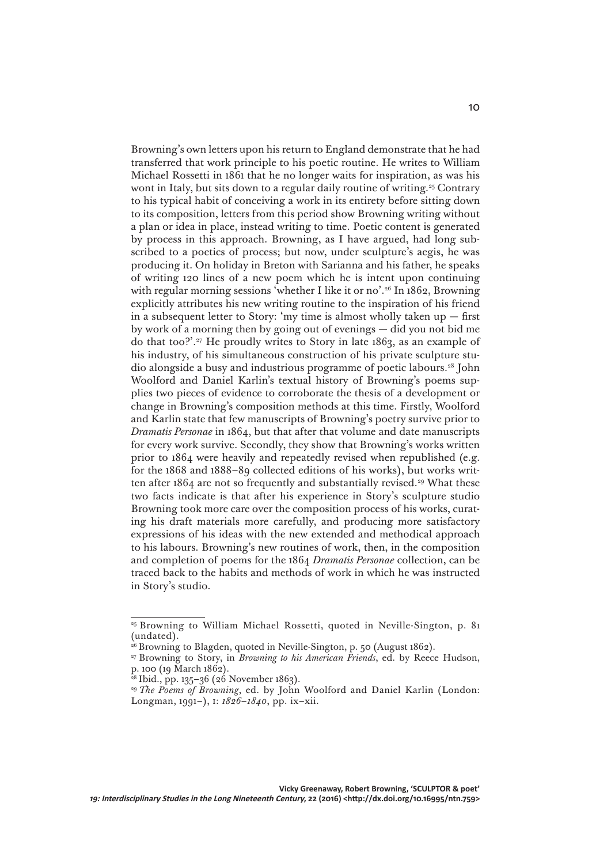Browning's own letters upon his return to England demonstrate that he had transferred that work principle to his poetic routine. He writes to William Michael Rossetti in 1861 that he no longer waits for inspiration, as was his wont in Italy, but sits down to a regular daily routine of writing.<sup>25</sup> Contrary to his typical habit of conceiving a work in its entirety before sitting down to its composition, letters from this period show Browning writing without a plan or idea in place, instead writing to time. Poetic content is generated by process in this approach. Browning, as I have argued, had long subscribed to a poetics of process; but now, under sculpture's aegis, he was producing it. On holiday in Breton with Sarianna and his father, he speaks of writing 120 lines of a new poem which he is intent upon continuing with regular morning sessions 'whether I like it or no'.<sup>26</sup> In 1862, Browning explicitly attributes his new writing routine to the inspiration of his friend in a subsequent letter to Story: 'my time is almost wholly taken  $up$  – first by work of a morning then by going out of evenings — did you not bid me do that too?'.27 He proudly writes to Story in late 1863, as an example of his industry, of his simultaneous construction of his private sculpture studio alongside a busy and industrious programme of poetic labours.28 John Woolford and Daniel Karlin's textual history of Browning's poems supplies two pieces of evidence to corroborate the thesis of a development or change in Browning's composition methods at this time. Firstly, Woolford and Karlin state that few manuscripts of Browning's poetry survive prior to *Dramatis Personae* in 1864, but that after that volume and date manuscripts for every work survive. Secondly, they show that Browning's works written prior to 1864 were heavily and repeatedly revised when republished (e.g. for the 1868 and 1888–89 collected editions of his works), but works written after 1864 are not so frequently and substantially revised.29 What these two facts indicate is that after his experience in Story's sculpture studio Browning took more care over the composition process of his works, curating his draft materials more carefully, and producing more satisfactory expressions of his ideas with the new extended and methodical approach to his labours. Browning's new routines of work, then, in the composition and completion of poems for the 1864 *Dramatis Personae* collection, can be traced back to the habits and methods of work in which he was instructed in Story's studio.

10

<sup>&</sup>lt;sup>25</sup> Browning to William Michael Rossetti, quoted in Neville-Sington, p. 81 (undated).

<sup>&</sup>lt;sup>26</sup> Browning to Blagden, quoted in Neville-Sington, p. 50 (August 1862).

<sup>27</sup> Browning to Story, in *Browning to his American Friends*, ed. by Reece Hudson, p. 100 (19 March 1862).

<sup>28</sup> Ibid., pp. 135–36 (26 November 1863).

<sup>29</sup>*The Poems of Browning*, ed. by John Woolford and Daniel Karlin (London: Longman, 1991–), i: *1826–1840*, pp. ix–xii.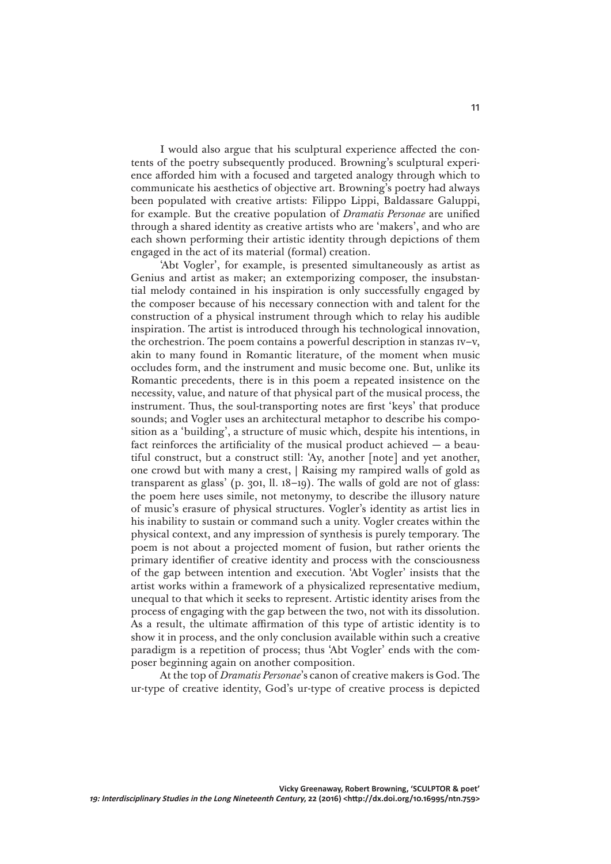I would also argue that his sculptural experience affected the contents of the poetry subsequently produced. Browning's sculptural experience afforded him with a focused and targeted analogy through which to communicate his aesthetics of objective art. Browning's poetry had always been populated with creative artists: Filippo Lippi, Baldassare Galuppi, for example. But the creative population of *Dramatis Personae* are unified through a shared identity as creative artists who are 'makers', and who are each shown performing their artistic identity through depictions of them engaged in the act of its material (formal) creation.

'Abt Vogler', for example, is presented simultaneously as artist as Genius and artist as maker; an extemporizing composer, the insubstantial melody contained in his inspiration is only successfully engaged by the composer because of his necessary connection with and talent for the construction of a physical instrument through which to relay his audible inspiration. The artist is introduced through his technological innovation, the orchestrion. The poem contains a powerful description in stanzas iv–v, akin to many found in Romantic literature, of the moment when music occludes form, and the instrument and music become one. But, unlike its Romantic precedents, there is in this poem a repeated insistence on the necessity, value, and nature of that physical part of the musical process, the instrument. Thus, the soul-transporting notes are first 'keys' that produce sounds; and Vogler uses an architectural metaphor to describe his composition as a 'building', a structure of music which, despite his intentions, in fact reinforces the artificiality of the musical product achieved  $-$  a beautiful construct, but a construct still: 'Ay, another [note] and yet another, one crowd but with many a crest, | Raising my rampired walls of gold as transparent as glass' (p. 301, ll. 18–19). The walls of gold are not of glass: the poem here uses simile, not metonymy, to describe the illusory nature of music's erasure of physical structures. Vogler's identity as artist lies in his inability to sustain or command such a unity. Vogler creates within the physical context, and any impression of synthesis is purely temporary. The poem is not about a projected moment of fusion, but rather orients the primary identifier of creative identity and process with the consciousness of the gap between intention and execution. 'Abt Vogler' insists that the artist works within a framework of a physicalized representative medium, unequal to that which it seeks to represent. Artistic identity arises from the process of engaging with the gap between the two, not with its dissolution. As a result, the ultimate affirmation of this type of artistic identity is to show it in process, and the only conclusion available within such a creative paradigm is a repetition of process; thus 'Abt Vogler' ends with the composer beginning again on another composition.

At the top of *Dramatis Personae*'s canon of creative makers is God. The ur-type of creative identity, God's ur-type of creative process is depicted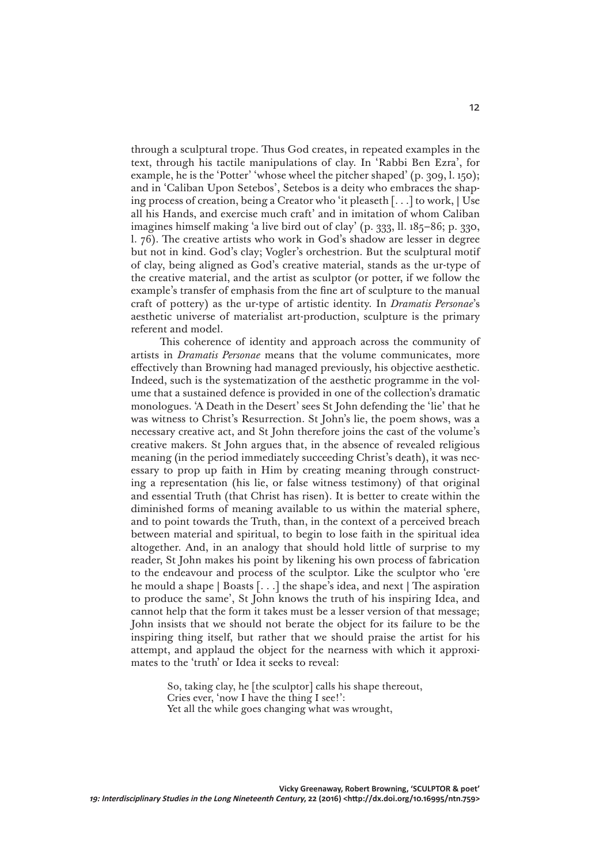through a sculptural trope. Thus God creates, in repeated examples in the text, through his tactile manipulations of clay. In 'Rabbi Ben Ezra', for example, he is the 'Potter' 'whose wheel the pitcher shaped' (p. 309, l. 150); and in 'Caliban Upon Setebos', Setebos is a deity who embraces the shaping process of creation, being a Creator who 'it pleaseth [. . .] to work, | Use all his Hands, and exercise much craft' and in imitation of whom Caliban imagines himself making 'a live bird out of clay' (p. 333, ll. 185–86; p. 330, l. 76). The creative artists who work in God's shadow are lesser in degree but not in kind. God's clay; Vogler's orchestrion. But the sculptural motif of clay, being aligned as God's creative material, stands as the ur-type of the creative material, and the artist as sculptor (or potter, if we follow the example's transfer of emphasis from the fine art of sculpture to the manual craft of pottery) as the ur-type of artistic identity. In *Dramatis Personae*'s aesthetic universe of materialist art-production, sculpture is the primary referent and model.

This coherence of identity and approach across the community of artists in *Dramatis Personae* means that the volume communicates, more effectively than Browning had managed previously, his objective aesthetic. Indeed, such is the systematization of the aesthetic programme in the volume that a sustained defence is provided in one of the collection's dramatic monologues. 'A Death in the Desert' sees St John defending the 'lie' that he was witness to Christ's Resurrection. St John's lie, the poem shows, was a necessary creative act, and St John therefore joins the cast of the volume's creative makers. St John argues that, in the absence of revealed religious meaning (in the period immediately succeeding Christ's death), it was necessary to prop up faith in Him by creating meaning through constructing a representation (his lie, or false witness testimony) of that original and essential Truth (that Christ has risen). It is better to create within the diminished forms of meaning available to us within the material sphere, and to point towards the Truth, than, in the context of a perceived breach between material and spiritual, to begin to lose faith in the spiritual idea altogether. And, in an analogy that should hold little of surprise to my reader, St John makes his point by likening his own process of fabrication to the endeavour and process of the sculptor. Like the sculptor who 'ere he mould a shape | Boasts [. . .] the shape's idea, and next | The aspiration to produce the same', St John knows the truth of his inspiring Idea, and cannot help that the form it takes must be a lesser version of that message; John insists that we should not berate the object for its failure to be the inspiring thing itself, but rather that we should praise the artist for his attempt, and applaud the object for the nearness with which it approximates to the 'truth' or Idea it seeks to reveal:

> So, taking clay, he [the sculptor] calls his shape thereout, Cries ever, 'now I have the thing I see!': Yet all the while goes changing what was wrought,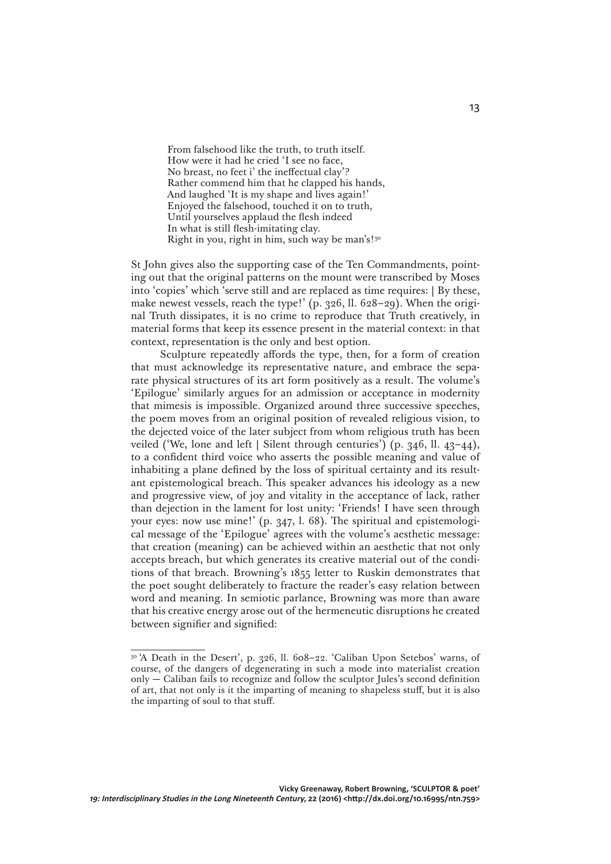From falsehood like the truth, to truth itself. How were it had he cried 'I see no face, No breast, no feet i' the ineffectual clay'? Rather commend him that he clapped his hands, And laughed 'It is my shape and lives again!' Enjoyed the falsehood, touched it on to truth, Until yourselves applaud the flesh indeed In what is still flesh-imitating clay. Right in you, right in him, such way be man's!<sup>30</sup>

St John gives also the supporting case of the Ten Commandments, pointing out that the original patterns on the mount were transcribed by Moses into 'copies' which 'serve still and are replaced as time requires: | By these, make newest vessels, reach the type!' (p. 326, ll. 628–29). When the original Truth dissipates, it is no crime to reproduce that Truth creatively, in material forms that keep its essence present in the material context: in that context, representation is the only and best option.

Sculpture repeatedly affords the type, then, for a form of creation that must acknowledge its representative nature, and embrace the separate physical structures of its art form positively as a result. The volume's 'Epilogue' similarly argues for an admission or acceptance in modernity that mimesis is impossible. Organized around three successive speeches, the poem moves from an original position of revealed religious vision, to the dejected voice of the later subject from whom religious truth has been veiled ('We, lone and left | Silent through centuries') (p. 346, ll. 43–44), to a confident third voice who asserts the possible meaning and value of inhabiting a plane defined by the loss of spiritual certainty and its resultant epistemological breach. This speaker advances his ideology as a new and progressive view, of joy and vitality in the acceptance of lack, rather than dejection in the lament for lost unity: 'Friends! I have seen through your eyes: now use mine!' (p. 347, l. 68). The spiritual and epistemological message of the 'Epilogue' agrees with the volume's aesthetic message: that creation (meaning) can be achieved within an aesthetic that not only accepts breach, but which generates its creative material out of the conditions of that breach. Browning's 1855 letter to Ruskin demonstrates that the poet sought deliberately to fracture the reader's easy relation between word and meaning. In semiotic parlance, Browning was more than aware that his creative energy arose out of the hermeneutic disruptions he created between signifier and signified:

<sup>30 &#</sup>x27;A Death in the Desert', p. 326, ll. 608–22. 'Caliban Upon Setebos' warns, of course, of the dangers of degenerating in such a mode into materialist creation only — Caliban fails to recognize and follow the sculptor Jules's second definition of art, that not only is it the imparting of meaning to shapeless stuff, but it is also the imparting of soul to that stuff.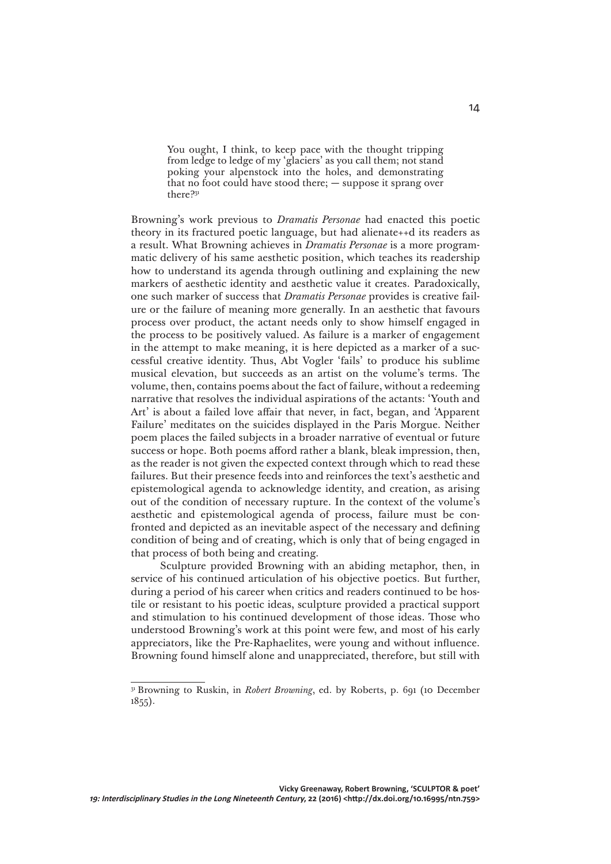You ought, I think, to keep pace with the thought tripping from ledge to ledge of my 'glaciers' as you call them; not stand poking your alpenstock into the holes, and demonstrating that no foot could have stood there; — suppose it sprang over there?31

Browning's work previous to *Dramatis Personae* had enacted this poetic theory in its fractured poetic language, but had alienate++d its readers as a result. What Browning achieves in *Dramatis Personae* is a more programmatic delivery of his same aesthetic position, which teaches its readership how to understand its agenda through outlining and explaining the new markers of aesthetic identity and aesthetic value it creates. Paradoxically, one such marker of success that *Dramatis Personae* provides is creative failure or the failure of meaning more generally. In an aesthetic that favours process over product, the actant needs only to show himself engaged in the process to be positively valued. As failure is a marker of engagement in the attempt to make meaning, it is here depicted as a marker of a successful creative identity. Thus, Abt Vogler 'fails' to produce his sublime musical elevation, but succeeds as an artist on the volume's terms. The volume, then, contains poems about the fact of failure, without a redeeming narrative that resolves the individual aspirations of the actants: 'Youth and Art' is about a failed love affair that never, in fact, began, and 'Apparent Failure' meditates on the suicides displayed in the Paris Morgue. Neither poem places the failed subjects in a broader narrative of eventual or future success or hope. Both poems afford rather a blank, bleak impression, then, as the reader is not given the expected context through which to read these failures. But their presence feeds into and reinforces the text's aesthetic and epistemological agenda to acknowledge identity, and creation, as arising out of the condition of necessary rupture. In the context of the volume's aesthetic and epistemological agenda of process, failure must be confronted and depicted as an inevitable aspect of the necessary and defining condition of being and of creating, which is only that of being engaged in that process of both being and creating.

Sculpture provided Browning with an abiding metaphor, then, in service of his continued articulation of his objective poetics. But further, during a period of his career when critics and readers continued to be hostile or resistant to his poetic ideas, sculpture provided a practical support and stimulation to his continued development of those ideas. Those who understood Browning's work at this point were few, and most of his early appreciators, like the Pre-Raphaelites, were young and without influence. Browning found himself alone and unappreciated, therefore, but still with

<sup>&</sup>lt;sup>31</sup> Browning to Ruskin, in *Robert Browning*, ed. by Roberts, p. 691 (10 December  $1855$ ).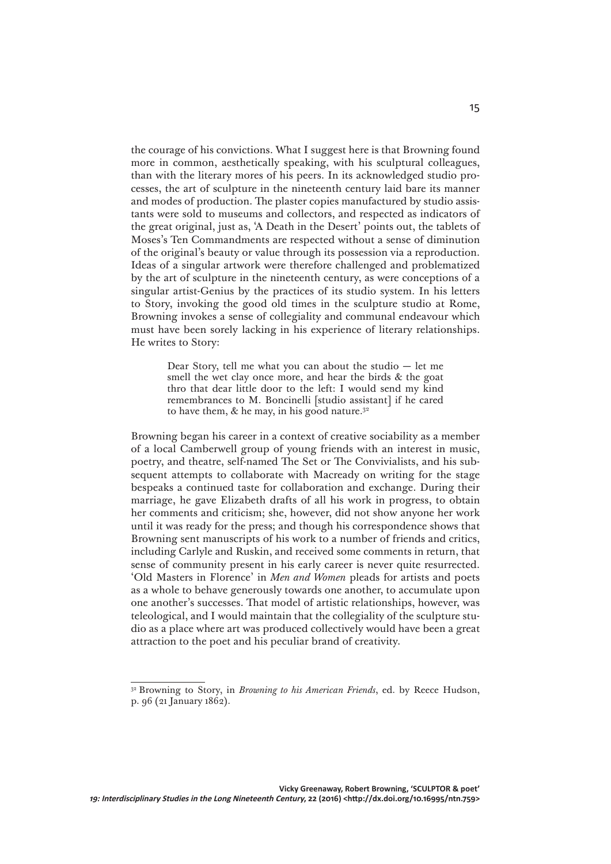the courage of his convictions. What I suggest here is that Browning found more in common, aesthetically speaking, with his sculptural colleagues, than with the literary mores of his peers. In its acknowledged studio processes, the art of sculpture in the nineteenth century laid bare its manner and modes of production. The plaster copies manufactured by studio assistants were sold to museums and collectors, and respected as indicators of the great original, just as, 'A Death in the Desert' points out, the tablets of Moses's Ten Commandments are respected without a sense of diminution of the original's beauty or value through its possession via a reproduction. Ideas of a singular artwork were therefore challenged and problematized by the art of sculpture in the nineteenth century, as were conceptions of a singular artist-Genius by the practices of its studio system. In his letters to Story, invoking the good old times in the sculpture studio at Rome, Browning invokes a sense of collegiality and communal endeavour which must have been sorely lacking in his experience of literary relationships. He writes to Story:

> Dear Story, tell me what you can about the studio — let me smell the wet clay once more, and hear the birds & the goat thro that dear little door to the left: I would send my kind remembrances to M. Boncinelli [studio assistant] if he cared to have them,  $\&$  he may, in his good nature.<sup>32</sup>

Browning began his career in a context of creative sociability as a member of a local Camberwell group of young friends with an interest in music, poetry, and theatre, self-named The Set or The Convivialists, and his subsequent attempts to collaborate with Macready on writing for the stage bespeaks a continued taste for collaboration and exchange. During their marriage, he gave Elizabeth drafts of all his work in progress, to obtain her comments and criticism; she, however, did not show anyone her work until it was ready for the press; and though his correspondence shows that Browning sent manuscripts of his work to a number of friends and critics, including Carlyle and Ruskin, and received some comments in return, that sense of community present in his early career is never quite resurrected. 'Old Masters in Florence' in *Men and Women* pleads for artists and poets as a whole to behave generously towards one another, to accumulate upon one another's successes. That model of artistic relationships, however, was teleological, and I would maintain that the collegiality of the sculpture studio as a place where art was produced collectively would have been a great attraction to the poet and his peculiar brand of creativity.

<sup>32</sup> Browning to Story, in *Browning to his American Friends*, ed. by Reece Hudson, p. 96 (21 January 1862).